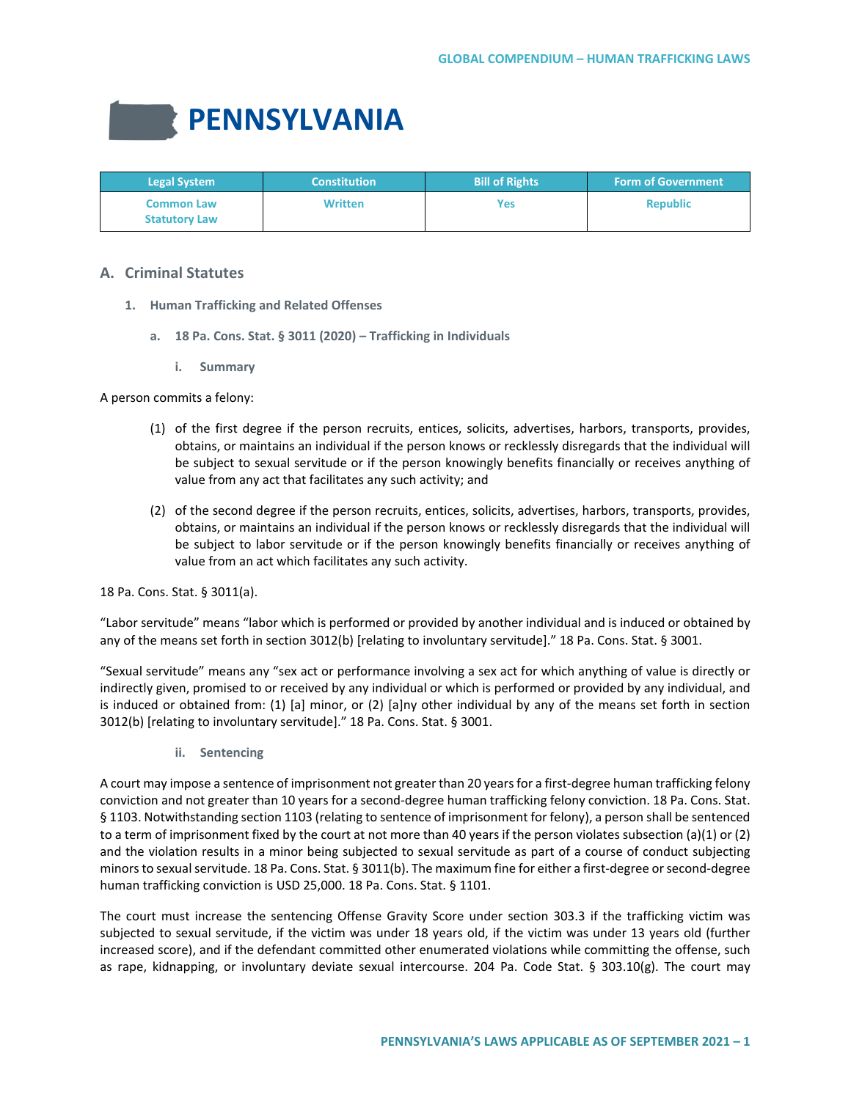# **PENNSYLVANIA**

| <b>Legal System</b>                       | <b>Constitution</b> | <b>Bill of Rights</b> | <b>Form of Government</b> |
|-------------------------------------------|---------------------|-----------------------|---------------------------|
| <b>Common Law</b><br><b>Statutory Law</b> | <b>Written</b>      | Yes                   | <b>Republic</b>           |

# **A. Criminal Statutes**

- **1. Human Trafficking and Related Offenses**
	- **a. 18 Pa. Cons. Stat. § 3011 (2020) – Trafficking in Individuals**
		- **i. Summary**

A person commits a felony:

- (1) of the first degree if the person recruits, entices, solicits, advertises, harbors, transports, provides, obtains, or maintains an individual if the person knows or recklessly disregards that the individual will be subject to sexual servitude or if the person knowingly benefits financially or receives anything of value from any act that facilitates any such activity; and
- (2) of the second degree if the person recruits, entices, solicits, advertises, harbors, transports, provides, obtains, or maintains an individual if the person knows or recklessly disregards that the individual will be subject to labor servitude or if the person knowingly benefits financially or receives anything of value from an act which facilitates any such activity.

18 Pa. Cons. Stat. § 3011(a).

"Labor servitude" means "labor which is performed or provided by another individual and is induced or obtained by any of the means set forth in section 3012(b) [relating to involuntary servitude]." 18 Pa. Cons. Stat. § 3001.

"Sexual servitude" means any "sex act or performance involving a sex act for which anything of value is directly or indirectly given, promised to or received by any individual or which is performed or provided by any individual, and is induced or obtained from: (1) [a] minor, or (2) [a]ny other individual by any of the means set forth in section 3012(b) [relating to involuntary servitude]." 18 Pa. Cons. Stat. § 3001.

**ii. Sentencing**

A court may impose a sentence of imprisonment not greater than 20 years for a first-degree human trafficking felony conviction and not greater than 10 years for a second-degree human trafficking felony conviction. 18 Pa. Cons. Stat. § 1103. Notwithstanding section 1103 (relating to sentence of imprisonment for felony), a person shall be sentenced to a term of imprisonment fixed by the court at not more than 40 years if the person violates subsection (a)(1) or (2) and the violation results in a minor being subjected to sexual servitude as part of a course of conduct subjecting minors to sexual servitude. 18 Pa. Cons. Stat. § 3011(b). The maximum fine for either a first-degree or second-degree human trafficking conviction is USD 25,000. 18 Pa. Cons. Stat. § 1101.

The court must increase the sentencing Offense Gravity Score under section 303.3 if the trafficking victim was subjected to sexual servitude, if the victim was under 18 years old, if the victim was under 13 years old (further increased score), and if the defendant committed other enumerated violations while committing the offense, such as rape, kidnapping, or involuntary deviate sexual intercourse. 204 Pa. Code Stat. § 303.10(g). The court may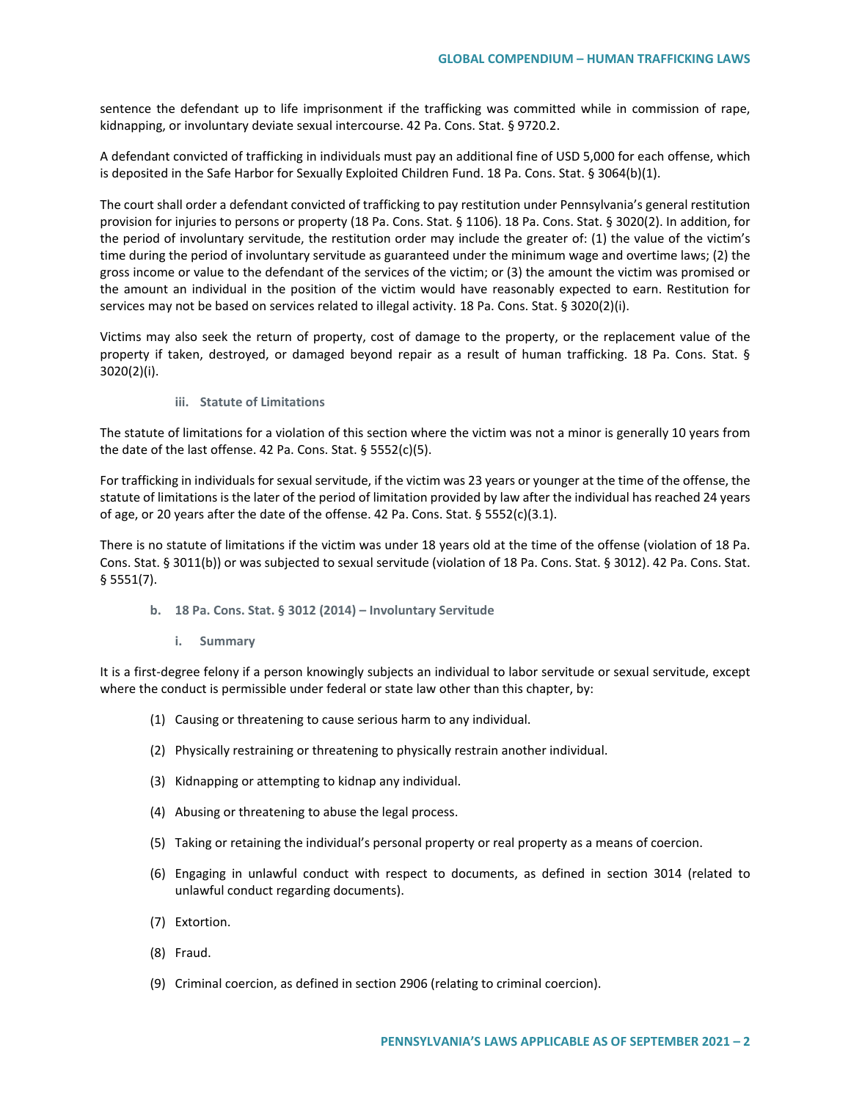sentence the defendant up to life imprisonment if the trafficking was committed while in commission of rape, kidnapping, or involuntary deviate sexual intercourse. 42 Pa. Cons. Stat. § 9720.2.

A defendant convicted of trafficking in individuals must pay an additional fine of USD 5,000 for each offense, which is deposited in the Safe Harbor for Sexually Exploited Children Fund. 18 Pa. Cons. Stat. § 3064(b)(1).

The court shall order a defendant convicted of trafficking to pay restitution under Pennsylvania's general restitution provision for injuries to persons or property (18 Pa. Cons. Stat. § 1106). 18 Pa. Cons. Stat. § 3020(2). In addition, for the period of involuntary servitude, the restitution order may include the greater of: (1) the value of the victim's time during the period of involuntary servitude as guaranteed under the minimum wage and overtime laws; (2) the gross income or value to the defendant of the services of the victim; or (3) the amount the victim was promised or the amount an individual in the position of the victim would have reasonably expected to earn. Restitution for services may not be based on services related to illegal activity. 18 Pa. Cons. Stat. § 3020(2)(i).

Victims may also seek the return of property, cost of damage to the property, or the replacement value of the property if taken, destroyed, or damaged beyond repair as a result of human trafficking. 18 Pa. Cons. Stat. § 3020(2)(i).

## **iii. Statute of Limitations**

The statute of limitations for a violation of this section where the victim was not a minor is generally 10 years from the date of the last offense. 42 Pa. Cons. Stat. § 5552(c)(5).

For trafficking in individuals for sexual servitude, if the victim was 23 years or younger at the time of the offense, the statute of limitations is the later of the period of limitation provided by law after the individual has reached 24 years of age, or 20 years after the date of the offense. 42 Pa. Cons. Stat. § 5552(c)(3.1).

There is no statute of limitations if the victim was under 18 years old at the time of the offense (violation of 18 Pa. Cons. Stat. § 3011(b)) or was subjected to sexual servitude (violation of 18 Pa. Cons. Stat. § 3012). 42 Pa. Cons. Stat. § 5551(7).

**b. 18 Pa. Cons. Stat. § 3012 (2014) – Involuntary Servitude**

# **i. Summary**

It is a first-degree felony if a person knowingly subjects an individual to labor servitude or sexual servitude, except where the conduct is permissible under federal or state law other than this chapter, by:

- (1) Causing or threatening to cause serious harm to any individual.
- (2) Physically restraining or threatening to physically restrain another individual.
- (3) Kidnapping or attempting to kidnap any individual.
- (4) Abusing or threatening to abuse the legal process.
- (5) Taking or retaining the individual's personal property or real property as a means of coercion.
- (6) Engaging in unlawful conduct with respect to documents, as defined in section 3014 (related to unlawful conduct regarding documents).
- (7) Extortion.
- (8) Fraud.
- (9) Criminal coercion, as defined in section 2906 (relating to criminal coercion).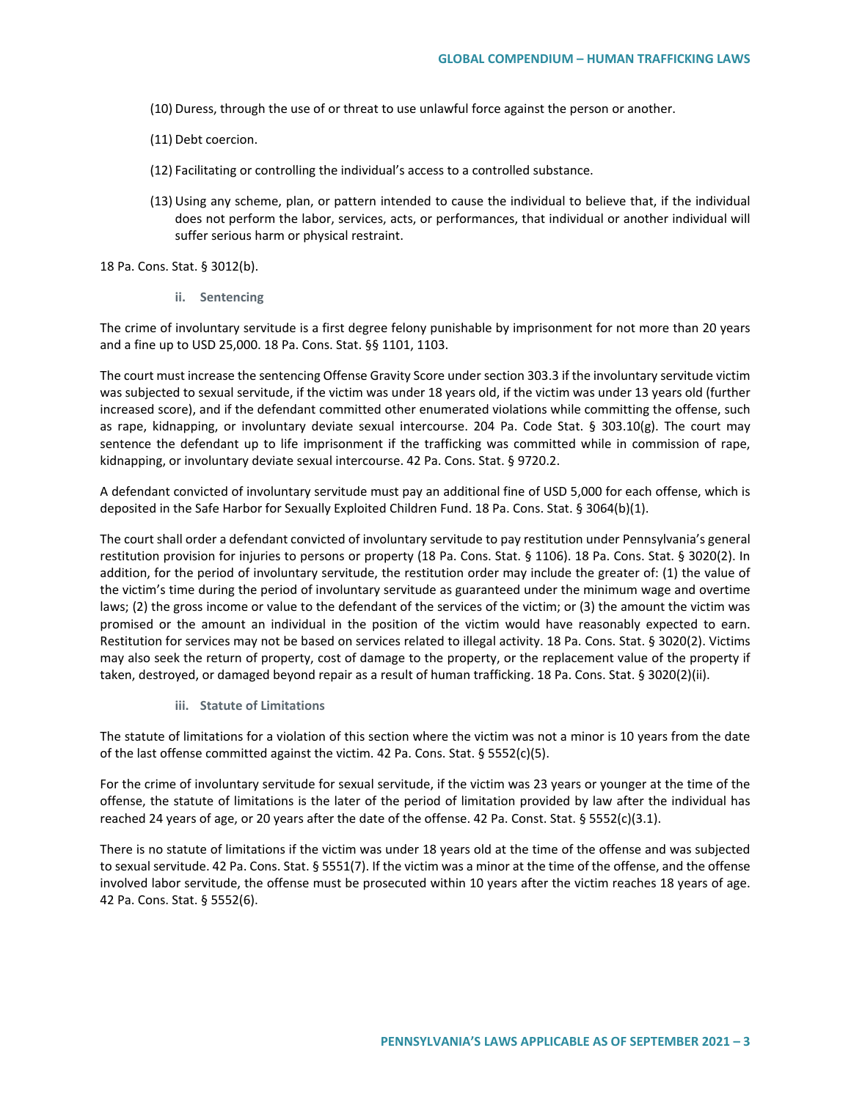- (10) Duress, through the use of or threat to use unlawful force against the person or another.
- (11) Debt coercion.
- (12) Facilitating or controlling the individual's access to a controlled substance.
- (13) Using any scheme, plan, or pattern intended to cause the individual to believe that, if the individual does not perform the labor, services, acts, or performances, that individual or another individual will suffer serious harm or physical restraint.

18 Pa. Cons. Stat. § 3012(b).

**ii. Sentencing**

The crime of involuntary servitude is a first degree felony punishable by imprisonment for not more than 20 years and a fine up to USD 25,000. 18 Pa. Cons. Stat. §§ 1101, 1103.

The court must increase the sentencing Offense Gravity Score under section 303.3 if the involuntary servitude victim was subjected to sexual servitude, if the victim was under 18 years old, if the victim was under 13 years old (further increased score), and if the defendant committed other enumerated violations while committing the offense, such as rape, kidnapping, or involuntary deviate sexual intercourse. 204 Pa. Code Stat. § 303.10(g). The court may sentence the defendant up to life imprisonment if the trafficking was committed while in commission of rape, kidnapping, or involuntary deviate sexual intercourse. 42 Pa. Cons. Stat. § 9720.2.

A defendant convicted of involuntary servitude must pay an additional fine of USD 5,000 for each offense, which is deposited in the Safe Harbor for Sexually Exploited Children Fund. 18 Pa. Cons. Stat. § 3064(b)(1).

The court shall order a defendant convicted of involuntary servitude to pay restitution under Pennsylvania's general restitution provision for injuries to persons or property (18 Pa. Cons. Stat. § 1106). 18 Pa. Cons. Stat. § 3020(2). In addition, for the period of involuntary servitude, the restitution order may include the greater of: (1) the value of the victim's time during the period of involuntary servitude as guaranteed under the minimum wage and overtime laws; (2) the gross income or value to the defendant of the services of the victim; or (3) the amount the victim was promised or the amount an individual in the position of the victim would have reasonably expected to earn. Restitution for services may not be based on services related to illegal activity. 18 Pa. Cons. Stat. § 3020(2). Victims may also seek the return of property, cost of damage to the property, or the replacement value of the property if taken, destroyed, or damaged beyond repair as a result of human trafficking. 18 Pa. Cons. Stat. § 3020(2)(ii).

**iii. Statute of Limitations**

The statute of limitations for a violation of this section where the victim was not a minor is 10 years from the date of the last offense committed against the victim. 42 Pa. Cons. Stat. § 5552(c)(5).

For the crime of involuntary servitude for sexual servitude, if the victim was 23 years or younger at the time of the offense, the statute of limitations is the later of the period of limitation provided by law after the individual has reached 24 years of age, or 20 years after the date of the offense. 42 Pa. Const. Stat. § 5552(c)(3.1).

There is no statute of limitations if the victim was under 18 years old at the time of the offense and was subjected to sexual servitude. 42 Pa. Cons. Stat. § 5551(7). If the victim was a minor at the time of the offense, and the offense involved labor servitude, the offense must be prosecuted within 10 years after the victim reaches 18 years of age. 42 Pa. Cons. Stat. § 5552(6).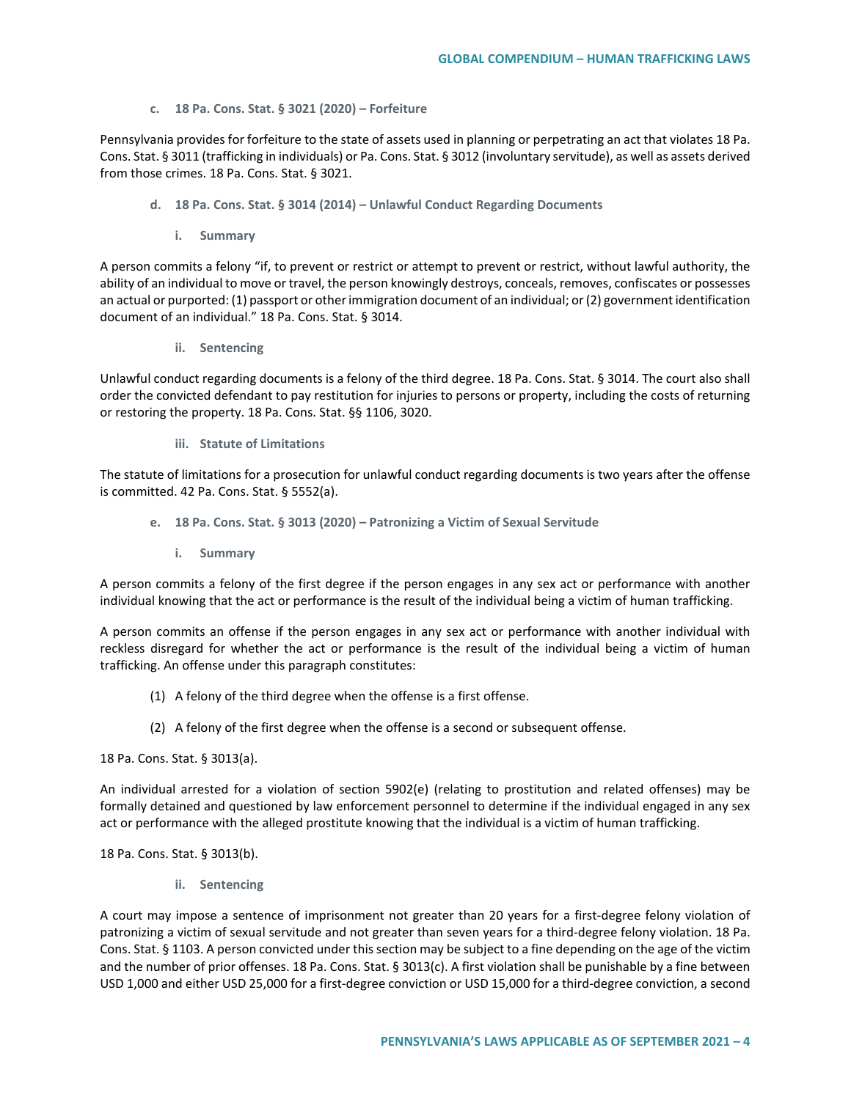## **c. 18 Pa. Cons. Stat. § 3021 (2020) – Forfeiture**

Pennsylvania provides for forfeiture to the state of assets used in planning or perpetrating an act that violates 18 Pa. Cons. Stat. § 3011 (trafficking in individuals) or Pa. Cons. Stat. § 3012 (involuntary servitude), as well as assets derived from those crimes. 18 Pa. Cons. Stat. § 3021.

- **d. 18 Pa. Cons. Stat. § 3014 (2014) – Unlawful Conduct Regarding Documents**
	- **i. Summary**

A person commits a felony "if, to prevent or restrict or attempt to prevent or restrict, without lawful authority, the ability of an individual to move or travel, the person knowingly destroys, conceals, removes, confiscates or possesses an actual or purported: (1) passport or other immigration document of an individual; or (2) government identification document of an individual." 18 Pa. Cons. Stat. § 3014.

**ii. Sentencing**

Unlawful conduct regarding documents is a felony of the third degree. 18 Pa. Cons. Stat. § 3014. The court also shall order the convicted defendant to pay restitution for injuries to persons or property, including the costs of returning or restoring the property. 18 Pa. Cons. Stat. §§ 1106, 3020.

## **iii. Statute of Limitations**

The statute of limitations for a prosecution for unlawful conduct regarding documents is two years after the offense is committed. 42 Pa. Cons. Stat. § 5552(a).

- **e. 18 Pa. Cons. Stat. § 3013 (2020) – Patronizing a Victim of Sexual Servitude**
	- **i. Summary**

A person commits a felony of the first degree if the person engages in any sex act or performance with another individual knowing that the act or performance is the result of the individual being a victim of human trafficking.

A person commits an offense if the person engages in any sex act or performance with another individual with reckless disregard for whether the act or performance is the result of the individual being a victim of human trafficking. An offense under this paragraph constitutes:

- (1) A felony of the third degree when the offense is a first offense.
- (2) A felony of the first degree when the offense is a second or subsequent offense.

18 Pa. Cons. Stat. § 3013(a).

An individual arrested for a violation of section 5902(e) (relating to prostitution and related offenses) may be formally detained and questioned by law enforcement personnel to determine if the individual engaged in any sex act or performance with the alleged prostitute knowing that the individual is a victim of human trafficking.

18 Pa. Cons. Stat. § 3013(b).

**ii. Sentencing**

A court may impose a sentence of imprisonment not greater than 20 years for a first-degree felony violation of patronizing a victim of sexual servitude and not greater than seven years for a third-degree felony violation. 18 Pa. Cons. Stat. § 1103. A person convicted under this section may be subject to a fine depending on the age of the victim and the number of prior offenses. 18 Pa. Cons. Stat. § 3013(c). A first violation shall be punishable by a fine between USD 1,000 and either USD 25,000 for a first-degree conviction or USD 15,000 for a third-degree conviction, a second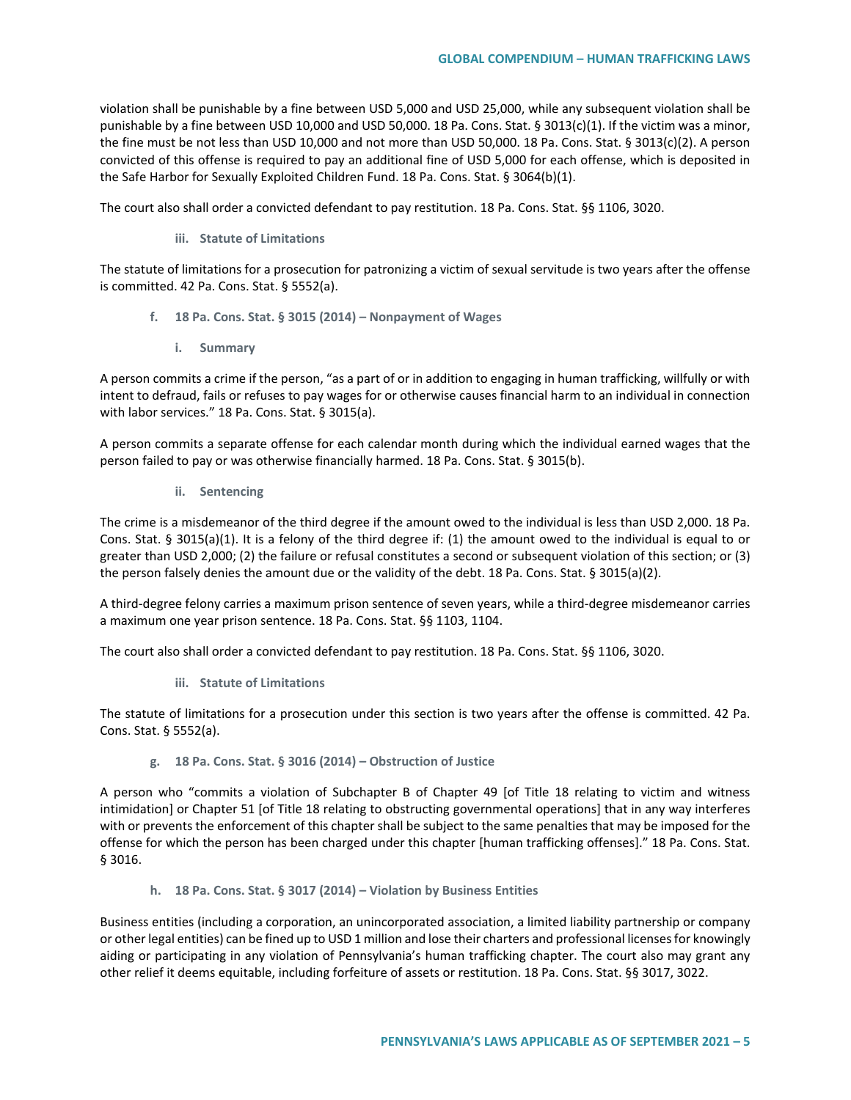violation shall be punishable by a fine between USD 5,000 and USD 25,000, while any subsequent violation shall be punishable by a fine between USD 10,000 and USD 50,000. 18 Pa. Cons. Stat. § 3013(c)(1). If the victim was a minor, the fine must be not less than USD 10,000 and not more than USD 50,000. 18 Pa. Cons. Stat. § 3013(c)(2). A person convicted of this offense is required to pay an additional fine of USD 5,000 for each offense, which is deposited in the Safe Harbor for Sexually Exploited Children Fund. 18 Pa. Cons. Stat. § 3064(b)(1).

The court also shall order a convicted defendant to pay restitution. 18 Pa. Cons. Stat. §§ 1106, 3020.

**iii. Statute of Limitations**

The statute of limitations for a prosecution for patronizing a victim of sexual servitude is two years after the offense is committed. 42 Pa. Cons. Stat. § 5552(a).

- **f. 18 Pa. Cons. Stat. § 3015 (2014) – Nonpayment of Wages**
	- **i. Summary**

A person commits a crime if the person, "as a part of or in addition to engaging in human trafficking, willfully or with intent to defraud, fails or refuses to pay wages for or otherwise causes financial harm to an individual in connection with labor services." 18 Pa. Cons. Stat. § 3015(a).

A person commits a separate offense for each calendar month during which the individual earned wages that the person failed to pay or was otherwise financially harmed. 18 Pa. Cons. Stat. § 3015(b).

**ii. Sentencing**

The crime is a misdemeanor of the third degree if the amount owed to the individual is less than USD 2,000. 18 Pa. Cons. Stat. § 3015(a)(1). It is a felony of the third degree if: (1) the amount owed to the individual is equal to or greater than USD 2,000; (2) the failure or refusal constitutes a second or subsequent violation of this section; or (3) the person falsely denies the amount due or the validity of the debt. 18 Pa. Cons. Stat. § 3015(a)(2).

A third-degree felony carries a maximum prison sentence of seven years, while a third-degree misdemeanor carries a maximum one year prison sentence. 18 Pa. Cons. Stat. §§ 1103, 1104.

The court also shall order a convicted defendant to pay restitution. 18 Pa. Cons. Stat. §§ 1106, 3020.

**iii. Statute of Limitations**

The statute of limitations for a prosecution under this section is two years after the offense is committed. 42 Pa. Cons. Stat. § 5552(a).

### **g. 18 Pa. Cons. Stat. § 3016 (2014) – Obstruction of Justice**

A person who "commits a violation of Subchapter B of Chapter 49 [of Title 18 relating to victim and witness intimidation] or Chapter 51 [of Title 18 relating to obstructing governmental operations] that in any way interferes with or prevents the enforcement of this chapter shall be subject to the same penalties that may be imposed for the offense for which the person has been charged under this chapter [human trafficking offenses]." 18 Pa. Cons. Stat. § 3016.

**h. 18 Pa. Cons. Stat. § 3017 (2014) – Violation by Business Entities**

Business entities (including a corporation, an unincorporated association, a limited liability partnership or company or other legal entities) can be fined up to USD 1 million and lose their charters and professional licenses for knowingly aiding or participating in any violation of Pennsylvania's human trafficking chapter. The court also may grant any other relief it deems equitable, including forfeiture of assets or restitution. 18 Pa. Cons. Stat. §§ 3017, 3022.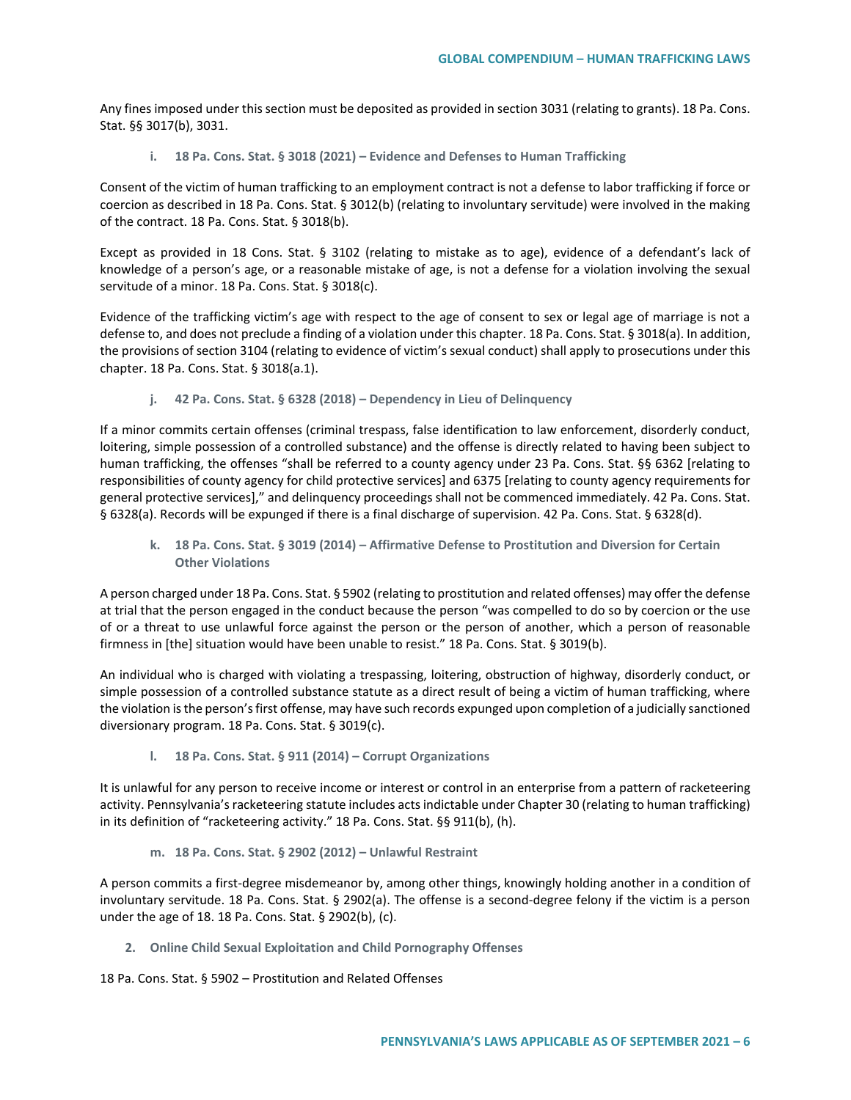Any fines imposed under this section must be deposited as provided in section 3031 (relating to grants). 18 Pa. Cons. Stat. §§ 3017(b), 3031.

**i. 18 Pa. Cons. Stat. § 3018 (2021) – Evidence and Defenses to Human Trafficking**

Consent of the victim of human trafficking to an employment contract is not a defense to labor trafficking if force or coercion as described in 18 Pa. Cons. Stat. § 3012(b) (relating to involuntary servitude) were involved in the making of the contract. 18 Pa. Cons. Stat. § 3018(b).

Except as provided in 18 Cons. Stat. § 3102 (relating to mistake as to age), evidence of a defendant's lack of knowledge of a person's age, or a reasonable mistake of age, is not a defense for a violation involving the sexual servitude of a minor. 18 Pa. Cons. Stat. § 3018(c).

Evidence of the trafficking victim's age with respect to the age of consent to sex or legal age of marriage is not a defense to, and does not preclude a finding of a violation under this chapter. 18 Pa. Cons. Stat. § 3018(a). In addition, the provisions of section 3104 (relating to evidence of victim's sexual conduct) shall apply to prosecutions under this chapter. 18 Pa. Cons. Stat. § 3018(a.1).

**j. 42 Pa. Cons. Stat. § 6328 (2018) – Dependency in Lieu of Delinquency** 

If a minor commits certain offenses (criminal trespass, false identification to law enforcement, disorderly conduct, loitering, simple possession of a controlled substance) and the offense is directly related to having been subject to human trafficking, the offenses "shall be referred to a county agency under 23 Pa. Cons. Stat. §§ 6362 [relating to responsibilities of county agency for child protective services] and 6375 [relating to county agency requirements for general protective services]," and delinquency proceedings shall not be commenced immediately. 42 Pa. Cons. Stat. § 6328(a). Records will be expunged if there is a final discharge of supervision. 42 Pa. Cons. Stat. § 6328(d).

**k. 18 Pa. Cons. Stat. § 3019 (2014) – Affirmative Defense to Prostitution and Diversion for Certain Other Violations**

A person charged under 18 Pa. Cons. Stat. § 5902 (relating to prostitution and related offenses) may offer the defense at trial that the person engaged in the conduct because the person "was compelled to do so by coercion or the use of or a threat to use unlawful force against the person or the person of another, which a person of reasonable firmness in [the] situation would have been unable to resist." 18 Pa. Cons. Stat. § 3019(b).

An individual who is charged with violating a trespassing, loitering, obstruction of highway, disorderly conduct, or simple possession of a controlled substance statute as a direct result of being a victim of human trafficking, where the violation is the person's first offense, may have such records expunged upon completion of a judicially sanctioned diversionary program. 18 Pa. Cons. Stat. § 3019(c).

**l. 18 Pa. Cons. Stat. § 911 (2014) – Corrupt Organizations**

It is unlawful for any person to receive income or interest or control in an enterprise from a pattern of racketeering activity. Pennsylvania's racketeering statute includes acts indictable under Chapter 30 (relating to human trafficking) in its definition of "racketeering activity." 18 Pa. Cons. Stat. §§ 911(b), (h).

**m. 18 Pa. Cons. Stat. § 2902 (2012) – Unlawful Restraint**

A person commits a first-degree misdemeanor by, among other things, knowingly holding another in a condition of involuntary servitude. 18 Pa. Cons. Stat. § 2902(a). The offense is a second-degree felony if the victim is a person under the age of 18. 18 Pa. Cons. Stat. § 2902(b), (c).

**2. Online Child Sexual Exploitation and Child Pornography Offenses**

18 Pa. Cons. Stat. § 5902 – Prostitution and Related Offenses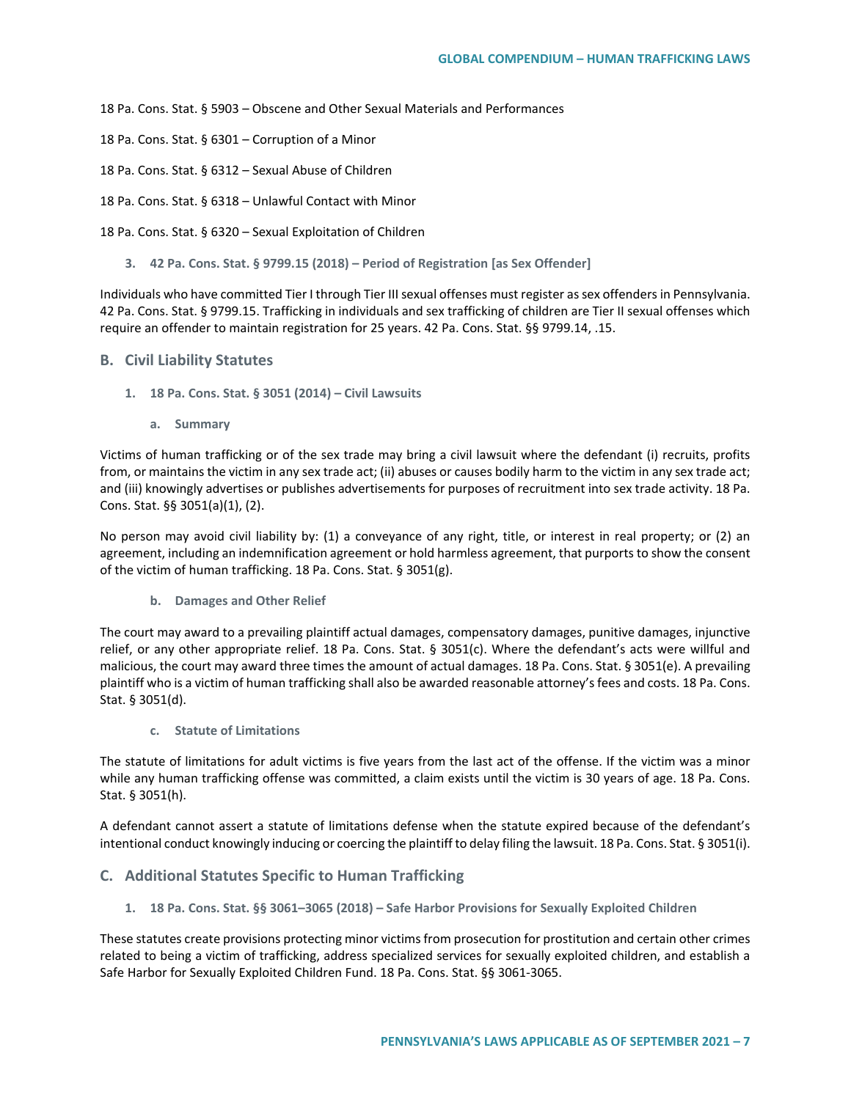18 Pa. Cons. Stat. § 5903 – Obscene and Other Sexual Materials and Performances

- 18 Pa. Cons. Stat. § 6301 Corruption of a Minor
- 18 Pa. Cons. Stat. § 6312 Sexual Abuse of Children
- 18 Pa. Cons. Stat. § 6318 Unlawful Contact with Minor

18 Pa. Cons. Stat. § 6320 – Sexual Exploitation of Children

**3. 42 Pa. Cons. Stat. § 9799.15 (2018) – Period of Registration [as Sex Offender]**

Individuals who have committed Tier I through Tier III sexual offenses must register as sex offenders in Pennsylvania. 42 Pa. Cons. Stat. § 9799.15. Trafficking in individuals and sex trafficking of children are Tier II sexual offenses which require an offender to maintain registration for 25 years. 42 Pa. Cons. Stat. §§ 9799.14, .15.

## **B. Civil Liability Statutes**

- **1. 18 Pa. Cons. Stat. § 3051 (2014) – Civil Lawsuits**
	- **a. Summary**

Victims of human trafficking or of the sex trade may bring a civil lawsuit where the defendant (i) recruits, profits from, or maintains the victim in any sex trade act; (ii) abuses or causes bodily harm to the victim in any sex trade act; and (iii) knowingly advertises or publishes advertisements for purposes of recruitment into sex trade activity. 18 Pa. Cons. Stat. §§ 3051(a)(1), (2).

No person may avoid civil liability by: (1) a conveyance of any right, title, or interest in real property; or (2) an agreement, including an indemnification agreement or hold harmless agreement, that purports to show the consent of the victim of human trafficking. 18 Pa. Cons. Stat. § 3051(g).

**b. Damages and Other Relief**

The court may award to a prevailing plaintiff actual damages, compensatory damages, punitive damages, injunctive relief, or any other appropriate relief. 18 Pa. Cons. Stat. § 3051(c). Where the defendant's acts were willful and malicious, the court may award three times the amount of actual damages. 18 Pa. Cons. Stat. § 3051(e). A prevailing plaintiff who is a victim of human trafficking shall also be awarded reasonable attorney's fees and costs. 18 Pa. Cons. Stat. § 3051(d).

**c. Statute of Limitations**

The statute of limitations for adult victims is five years from the last act of the offense. If the victim was a minor while any human trafficking offense was committed, a claim exists until the victim is 30 years of age. 18 Pa. Cons. Stat. § 3051(h).

A defendant cannot assert a statute of limitations defense when the statute expired because of the defendant's intentional conduct knowingly inducing or coercing the plaintiff to delay filing the lawsuit. 18 Pa. Cons. Stat. § 3051(i).

## **C. Additional Statutes Specific to Human Trafficking**

**1. 18 Pa. Cons. Stat. §§ 3061–3065 (2018) – Safe Harbor Provisions for Sexually Exploited Children**

These statutes create provisions protecting minor victims from prosecution for prostitution and certain other crimes related to being a victim of trafficking, address specialized services for sexually exploited children, and establish a Safe Harbor for Sexually Exploited Children Fund. 18 Pa. Cons. Stat. §§ 3061-3065.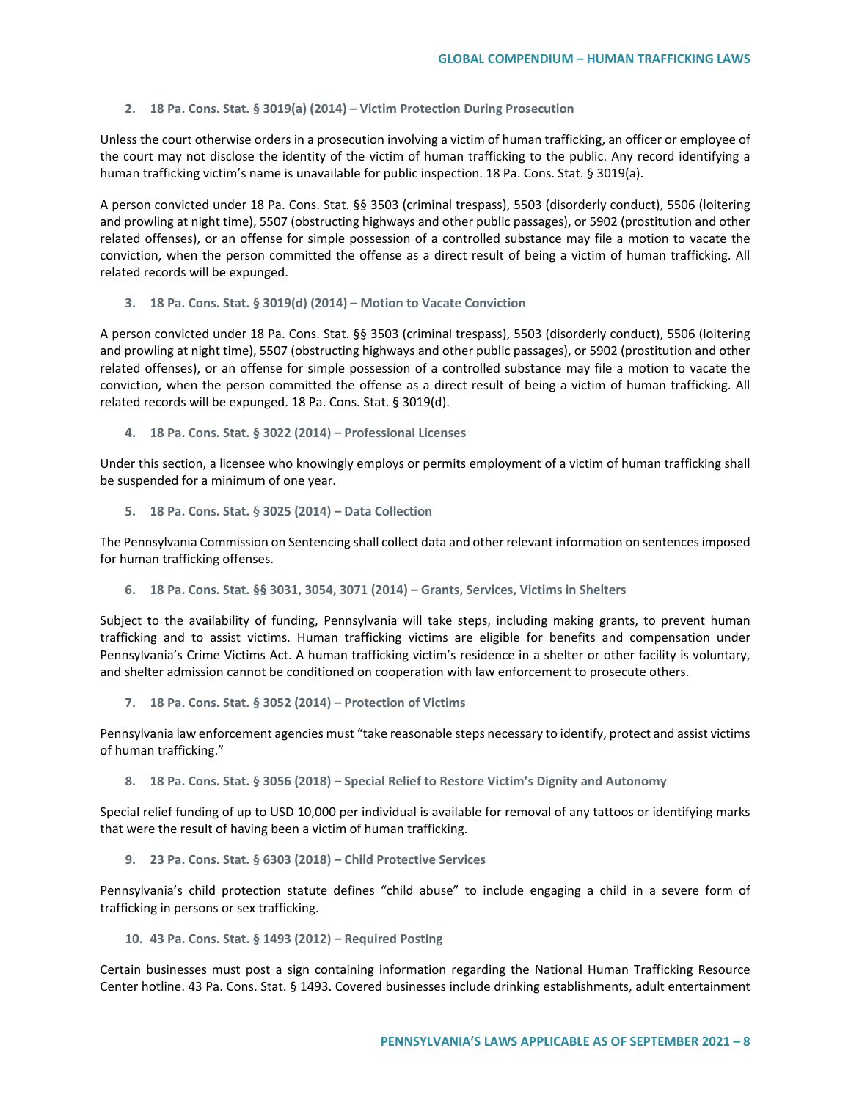## **2. 18 Pa. Cons. Stat. § 3019(a) (2014) – Victim Protection During Prosecution**

Unless the court otherwise orders in a prosecution involving a victim of human trafficking, an officer or employee of the court may not disclose the identity of the victim of human trafficking to the public. Any record identifying a human trafficking victim's name is unavailable for public inspection. 18 Pa. Cons. Stat. § 3019(a).

A person convicted under 18 Pa. Cons. Stat. §§ 3503 (criminal trespass), 5503 (disorderly conduct), 5506 (loitering and prowling at night time), 5507 (obstructing highways and other public passages), or 5902 (prostitution and other related offenses), or an offense for simple possession of a controlled substance may file a motion to vacate the conviction, when the person committed the offense as a direct result of being a victim of human trafficking. All related records will be expunged.

### **3. 18 Pa. Cons. Stat. § 3019(d) (2014) – Motion to Vacate Conviction**

A person convicted under 18 Pa. Cons. Stat. §§ 3503 (criminal trespass), 5503 (disorderly conduct), 5506 (loitering and prowling at night time), 5507 (obstructing highways and other public passages), or 5902 (prostitution and other related offenses), or an offense for simple possession of a controlled substance may file a motion to vacate the conviction, when the person committed the offense as a direct result of being a victim of human trafficking. All related records will be expunged. 18 Pa. Cons. Stat. § 3019(d).

**4. 18 Pa. Cons. Stat. § 3022 (2014) – Professional Licenses**

Under this section, a licensee who knowingly employs or permits employment of a victim of human trafficking shall be suspended for a minimum of one year.

**5. 18 Pa. Cons. Stat. § 3025 (2014) – Data Collection**

The Pennsylvania Commission on Sentencing shall collect data and other relevant information on sentences imposed for human trafficking offenses.

**6. 18 Pa. Cons. Stat. §§ 3031, 3054, 3071 (2014) – Grants, Services, Victims in Shelters** 

Subject to the availability of funding, Pennsylvania will take steps, including making grants, to prevent human trafficking and to assist victims. Human trafficking victims are eligible for benefits and compensation under Pennsylvania's Crime Victims Act. A human trafficking victim's residence in a shelter or other facility is voluntary, and shelter admission cannot be conditioned on cooperation with law enforcement to prosecute others.

**7. 18 Pa. Cons. Stat. § 3052 (2014) – Protection of Victims**

Pennsylvania law enforcement agencies must "take reasonable steps necessary to identify, protect and assist victims of human trafficking."

**8. 18 Pa. Cons. Stat. § 3056 (2018) – Special Relief to Restore Victim's Dignity and Autonomy**

Special relief funding of up to USD 10,000 per individual is available for removal of any tattoos or identifying marks that were the result of having been a victim of human trafficking.

# **9. 23 Pa. Cons. Stat. § 6303 (2018) – Child Protective Services**

Pennsylvania's child protection statute defines "child abuse" to include engaging a child in a severe form of trafficking in persons or sex trafficking.

## **10. 43 Pa. Cons. Stat. § 1493 (2012) – Required Posting**

Certain businesses must post a sign containing information regarding the National Human Trafficking Resource Center hotline. 43 Pa. Cons. Stat. § 1493. Covered businesses include drinking establishments, adult entertainment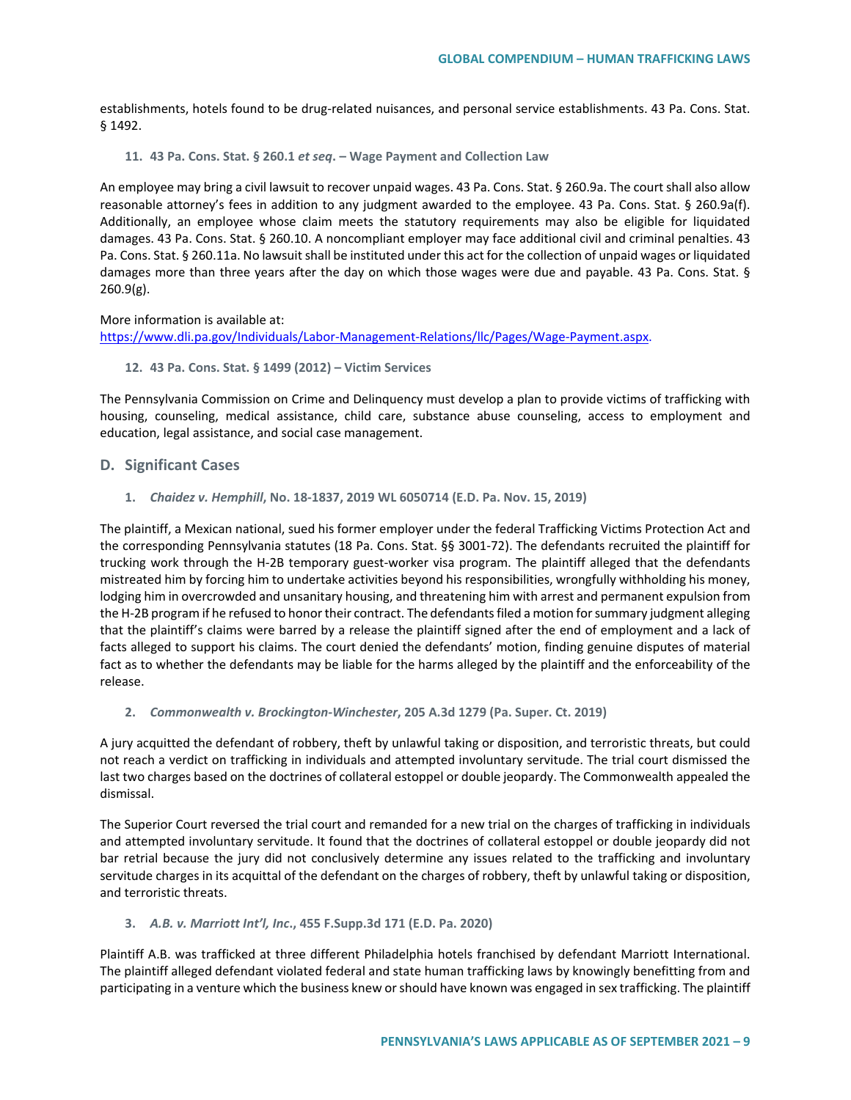establishments, hotels found to be drug-related nuisances, and personal service establishments. 43 Pa. Cons. Stat. § 1492.

#### **11. 43 Pa. Cons. Stat. § 260.1** *et seq***. – Wage Payment and Collection Law**

An employee may bring a civil lawsuit to recover unpaid wages. 43 Pa. Cons. Stat. § 260.9a. The court shall also allow reasonable attorney's fees in addition to any judgment awarded to the employee. 43 Pa. Cons. Stat. § 260.9a(f). Additionally, an employee whose claim meets the statutory requirements may also be eligible for liquidated damages. 43 Pa. Cons. Stat. § 260.10. A noncompliant employer may face additional civil and criminal penalties. 43 Pa. Cons. Stat. § 260.11a. No lawsuit shall be instituted under this act for the collection of unpaid wages or liquidated damages more than three years after the day on which those wages were due and payable. 43 Pa. Cons. Stat. § 260.9(g).

More information is available at:

[https://www.dli.pa.gov/Individuals/Labor-Management-Relations/llc/Pages/Wage-Payment.aspx.](https://www.dli.pa.gov/Individuals/Labor-Management-Relations/llc/Pages/Wage-Payment.aspx)

### **12. 43 Pa. Cons. Stat. § 1499 (2012) – Victim Services**

The Pennsylvania Commission on Crime and Delinquency must develop a plan to provide victims of trafficking with housing, counseling, medical assistance, child care, substance abuse counseling, access to employment and education, legal assistance, and social case management.

## **D. Significant Cases**

**1.** *Chaidez v. Hemphill***, No. 18-1837, 2019 WL 6050714 (E.D. Pa. Nov. 15, 2019)** 

The plaintiff, a Mexican national, sued his former employer under the federal Trafficking Victims Protection Act and the corresponding Pennsylvania statutes (18 Pa. Cons. Stat. §§ 3001-72). The defendants recruited the plaintiff for trucking work through the H-2B temporary guest-worker visa program. The plaintiff alleged that the defendants mistreated him by forcing him to undertake activities beyond his responsibilities, wrongfully withholding his money, lodging him in overcrowded and unsanitary housing, and threatening him with arrest and permanent expulsion from the H-2B program if he refused to honor their contract. The defendants filed a motion for summary judgment alleging that the plaintiff's claims were barred by a release the plaintiff signed after the end of employment and a lack of facts alleged to support his claims. The court denied the defendants' motion, finding genuine disputes of material fact as to whether the defendants may be liable for the harms alleged by the plaintiff and the enforceability of the release.

**2.** *Commonwealth v. Brockington-Winchester***, 205 A.3d 1279 (Pa. Super. Ct. 2019)** 

A jury acquitted the defendant of robbery, theft by unlawful taking or disposition, and terroristic threats, but could not reach a verdict on trafficking in individuals and attempted involuntary servitude. The trial court dismissed the last two charges based on the doctrines of collateral estoppel or double jeopardy. The Commonwealth appealed the dismissal.

The Superior Court reversed the trial court and remanded for a new trial on the charges of trafficking in individuals and attempted involuntary servitude. It found that the doctrines of collateral estoppel or double jeopardy did not bar retrial because the jury did not conclusively determine any issues related to the trafficking and involuntary servitude charges in its acquittal of the defendant on the charges of robbery, theft by unlawful taking or disposition, and terroristic threats.

## **3.** *A.B. v. Marriott Int'l, Inc***., 455 F.Supp.3d 171 (E.D. Pa. 2020)**

Plaintiff A.B. was trafficked at three different Philadelphia hotels franchised by defendant Marriott International. The plaintiff alleged defendant violated federal and state human trafficking laws by knowingly benefitting from and participating in a venture which the business knew or should have known was engaged in sex trafficking. The plaintiff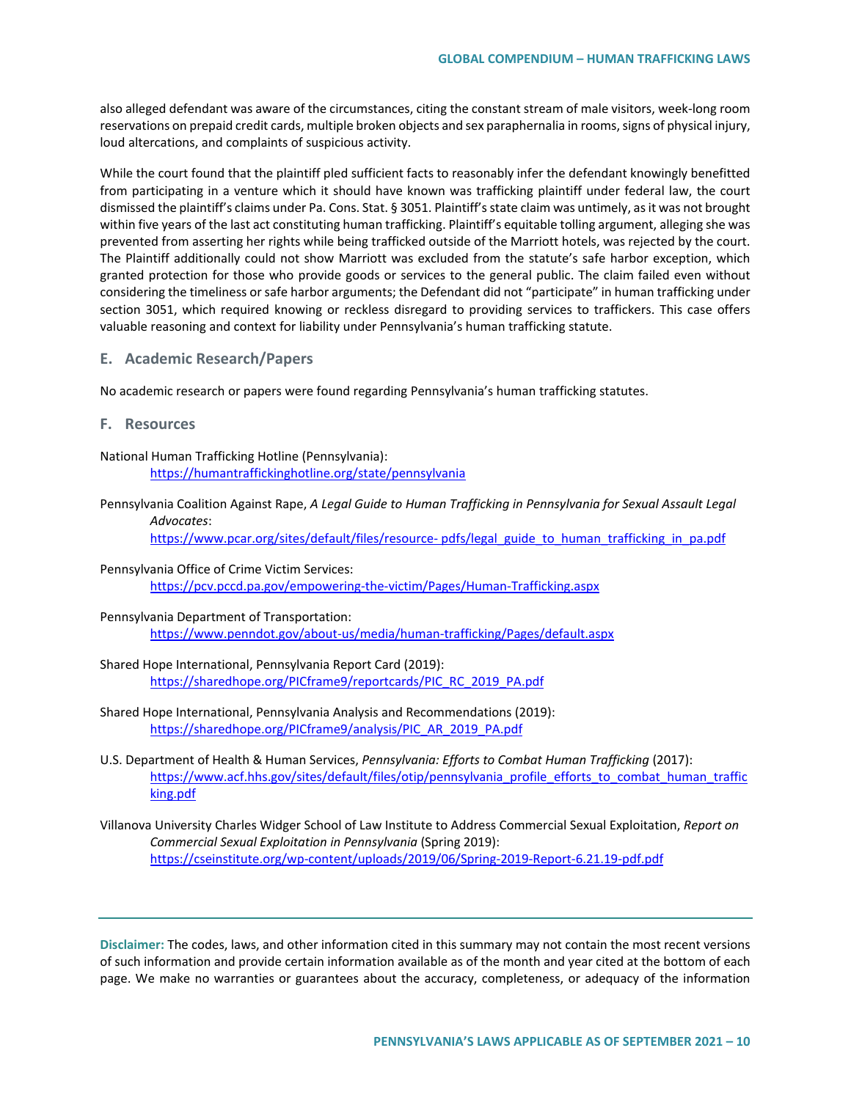also alleged defendant was aware of the circumstances, citing the constant stream of male visitors, week-long room reservations on prepaid credit cards, multiple broken objects and sex paraphernalia in rooms, signs of physical injury, loud altercations, and complaints of suspicious activity.

While the court found that the plaintiff pled sufficient facts to reasonably infer the defendant knowingly benefitted from participating in a venture which it should have known was trafficking plaintiff under federal law, the court dismissed the plaintiff's claims under Pa. Cons. Stat. § 3051. Plaintiff's state claim was untimely, as it was not brought within five years of the last act constituting human trafficking. Plaintiff's equitable tolling argument, alleging she was prevented from asserting her rights while being trafficked outside of the Marriott hotels, was rejected by the court. The Plaintiff additionally could not show Marriott was excluded from the statute's safe harbor exception, which granted protection for those who provide goods or services to the general public. The claim failed even without considering the timeliness or safe harbor arguments; the Defendant did not "participate" in human trafficking under section 3051, which required knowing or reckless disregard to providing services to traffickers. This case offers valuable reasoning and context for liability under Pennsylvania's human trafficking statute.

# **E. Academic Research/Papers**

No academic research or papers were found regarding Pennsylvania's human trafficking statutes.

**F. Resources** 

National Human Trafficking Hotline (Pennsylvania): <https://humantraffickinghotline.org/state/pennsylvania>

Pennsylvania Coalition Against Rape, *A Legal Guide to Human Trafficking in Pennsylvania for Sexual Assault Legal Advocates*:

[https://www.pcar.org/sites/default/files/resource-](https://www.pcar.org/sites/default/files/resource-%20pdfs/legal_guide_to_human_trafficking_in_pa.pdf) pdfs/legal\_guide\_to\_human\_trafficking\_in\_pa.pdf

- Pennsylvania Office of Crime Victim Services: <https://pcv.pccd.pa.gov/empowering-the-victim/Pages/Human-Trafficking.aspx>
- Pennsylvania Department of Transportation: <https://www.penndot.gov/about-us/media/human-trafficking/Pages/default.aspx>
- Shared Hope International, Pennsylvania Report Card (2019): [https://sharedhope.org/PICframe9/reportcards/PIC\\_RC\\_2019\\_PA.pdf](https://sharedhope.org/PICframe9/reportcards/PIC_RC_2019_PA.pdf)
- Shared Hope International, Pennsylvania Analysis and Recommendations (2019): [https://sharedhope.org/PICframe9/analysis/PIC\\_AR\\_2019\\_PA.pdf](https://sharedhope.org/PICframe9/analysis/PIC_AR_2019_PA.pdf)
- U.S. Department of Health & Human Services, *Pennsylvania: Efforts to Combat Human Trafficking* (2017): [https://www.acf.hhs.gov/sites/default/files/otip/pennsylvania\\_profile\\_efforts\\_to\\_combat\\_human\\_traffic](https://www.acf.hhs.gov/sites/default/files/otip/pennsylvania_profile_efforts_to_combat_human_trafficking.pdf) [king.pdf](https://www.acf.hhs.gov/sites/default/files/otip/pennsylvania_profile_efforts_to_combat_human_trafficking.pdf)
- Villanova University Charles Widger School of Law Institute to Address Commercial Sexual Exploitation, *Report on Commercial Sexual Exploitation in Pennsylvania* (Spring 2019): <https://cseinstitute.org/wp-content/uploads/2019/06/Spring-2019-Report-6.21.19-pdf.pdf>

**Disclaimer:** The codes, laws, and other information cited in this summary may not contain the most recent versions of such information and provide certain information available as of the month and year cited at the bottom of each page. We make no warranties or guarantees about the accuracy, completeness, or adequacy of the information